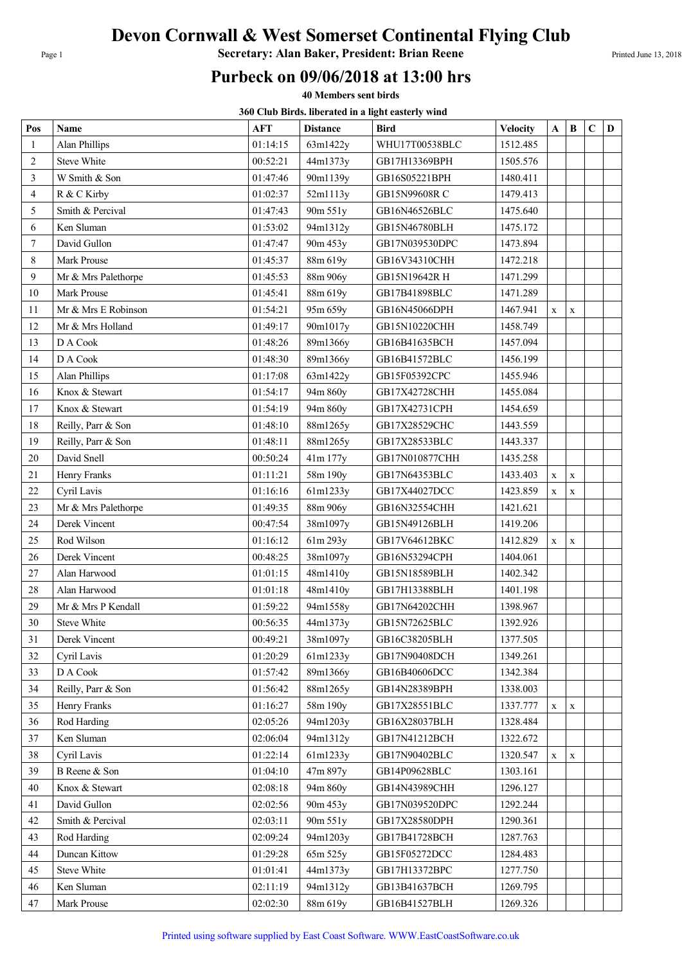## Devon Cornwall & West Somerset Continental Flying Club

Page 1 **Secretary: Alan Baker, President: Brian Reene** Printed June 13, 2018

## Purbeck on 09/06/2018 at 13:00 hrs

40 Members sent birds

360 Club Birds. liberated in a light easterly wind

| Pos          | Name                | <b>AFT</b> | <b>Distance</b> | 500 Club Dh'us. mocrattu in a nght casterly wind<br><b>Bird</b> | <b>Velocity</b> | A            | B            | $\mathbf C$ | D |
|--------------|---------------------|------------|-----------------|-----------------------------------------------------------------|-----------------|--------------|--------------|-------------|---|
| $\mathbf{1}$ | Alan Phillips       | 01:14:15   | 63m1422y        | WHU17T00538BLC                                                  | 1512.485        |              |              |             |   |
| 2            | Steve White         | 00:52:21   | 44m1373y        | GB17H13369BPH                                                   | 1505.576        |              |              |             |   |
| 3            | W Smith & Son       | 01:47:46   | 90m1139y        | GB16S05221BPH                                                   | 1480.411        |              |              |             |   |
| 4            | R & C Kirby         | 01:02:37   | 52m1113y        | GB15N99608R C                                                   | 1479.413        |              |              |             |   |
| 5            | Smith & Percival    | 01:47:43   | 90m 551y        | GB16N46526BLC                                                   | 1475.640        |              |              |             |   |
| 6            | Ken Sluman          | 01:53:02   | 94m1312y        | GB15N46780BLH                                                   | 1475.172        |              |              |             |   |
| $\tau$       | David Gullon        | 01:47:47   | 90m 453y        | GB17N039530DPC                                                  | 1473.894        |              |              |             |   |
| 8            | Mark Prouse         | 01:45:37   | 88m 619y        | GB16V34310CHH                                                   | 1472.218        |              |              |             |   |
| 9            | Mr & Mrs Palethorpe | 01:45:53   | 88m 906y        | GB15N19642R H                                                   | 1471.299        |              |              |             |   |
| 10           | Mark Prouse         | 01:45:41   | 88m 619y        | GB17B41898BLC                                                   | 1471.289        |              |              |             |   |
| 11           | Mr & Mrs E Robinson | 01:54:21   | 95m 659y        | GB16N45066DPH                                                   | 1467.941        | $\mathbf{X}$ | $\mathbf{X}$ |             |   |
| 12           | Mr & Mrs Holland    | 01:49:17   | 90m1017y        | GB15N10220CHH                                                   | 1458.749        |              |              |             |   |
| 13           | D A Cook            | 01:48:26   | 89m1366y        | GB16B41635BCH                                                   | 1457.094        |              |              |             |   |
| 14           | D A Cook            | 01:48:30   | 89m1366y        | GB16B41572BLC                                                   | 1456.199        |              |              |             |   |
| 15           | Alan Phillips       | 01:17:08   | 63m1422y        | GB15F05392CPC                                                   | 1455.946        |              |              |             |   |
| 16           | Knox & Stewart      | 01:54:17   | 94m 860y        | GB17X42728CHH                                                   | 1455.084        |              |              |             |   |
| 17           | Knox & Stewart      | 01:54:19   | 94m 860y        | GB17X42731CPH                                                   | 1454.659        |              |              |             |   |
| 18           | Reilly, Parr & Son  | 01:48:10   | 88m1265y        | GB17X28529CHC                                                   | 1443.559        |              |              |             |   |
| 19           | Reilly, Parr & Son  | 01:48:11   | 88m1265y        | GB17X28533BLC                                                   | 1443.337        |              |              |             |   |
| 20           | David Snell         | 00:50:24   | 41m 177y        | GB17N010877CHH                                                  | 1435.258        |              |              |             |   |
| 21           | Henry Franks        | 01:11:21   | 58m 190y        | GB17N64353BLC                                                   | 1433.403        | $\mathbf X$  | $\mathbf X$  |             |   |
| 22           | Cyril Lavis         | 01:16:16   | 61m1233y        | GB17X44027DCC                                                   | 1423.859        | $\mathbf X$  | $\mathbf X$  |             |   |
| 23           | Mr & Mrs Palethorpe | 01:49:35   | 88m 906y        | GB16N32554CHH                                                   | 1421.621        |              |              |             |   |
| 24           | Derek Vincent       | 00:47:54   | 38m1097y        | GB15N49126BLH                                                   | 1419.206        |              |              |             |   |
| 25           | Rod Wilson          | 01:16:12   | 61m 293y        | GB17V64612BKC                                                   | 1412.829        | $\mathbf X$  | $\mathbf x$  |             |   |
| 26           | Derek Vincent       | 00:48:25   | 38m1097y        | GB16N53294CPH                                                   | 1404.061        |              |              |             |   |
| 27           | Alan Harwood        | 01:01:15   | 48m1410y        | GB15N18589BLH                                                   | 1402.342        |              |              |             |   |
| 28           | Alan Harwood        | 01:01:18   | 48m1410y        | GB17H13388BLH                                                   | 1401.198        |              |              |             |   |
| 29           | Mr & Mrs P Kendall  | 01:59:22   | 94m1558y        | GB17N64202CHH                                                   | 1398.967        |              |              |             |   |
| 30           | Steve White         | 00:56:35   | 44m1373y        | GB15N72625BLC                                                   | 1392.926        |              |              |             |   |
| 31           | Derek Vincent       | 00:49:21   | 38m1097y        | GB16C38205BLH                                                   | 1377.505        |              |              |             |   |
| 32           | Cyril Lavis         | 01:20:29   | 61m1233y        | GB17N90408DCH                                                   | 1349.261        |              |              |             |   |
| 33           | D A Cook            | 01:57:42   | 89m1366y        | GB16B40606DCC                                                   | 1342.384        |              |              |             |   |
| 34           | Reilly, Parr & Son  | 01:56:42   | 88m1265y        | GB14N28389BPH                                                   | 1338.003        |              |              |             |   |
| 35           | Henry Franks        | 01:16:27   | 58m 190y        | GB17X28551BLC                                                   | 1337.777        | $\mathbf X$  | X            |             |   |
| 36           | Rod Harding         | 02:05:26   | 94m1203y        | GB16X28037BLH                                                   | 1328.484        |              |              |             |   |
| 37           | Ken Sluman          | 02:06:04   | 94m1312y        | GB17N41212BCH                                                   | 1322.672        |              |              |             |   |
| 38           | Cyril Lavis         | 01:22:14   | 61m1233y        | GB17N90402BLC                                                   | 1320.547        | X            | X            |             |   |
| 39           | B Reene & Son       | 01:04:10   | 47m 897y        | GB14P09628BLC                                                   | 1303.161        |              |              |             |   |
| 40           | Knox & Stewart      | 02:08:18   | 94m 860y        | GB14N43989CHH                                                   | 1296.127        |              |              |             |   |
| 41           | David Gullon        | 02:02:56   | 90m 453y        | GB17N039520DPC                                                  | 1292.244        |              |              |             |   |
| 42           | Smith & Percival    | 02:03:11   | 90m 551y        | GB17X28580DPH                                                   | 1290.361        |              |              |             |   |
| 43           | Rod Harding         | 02:09:24   | 94m1203y        | GB17B41728BCH                                                   | 1287.763        |              |              |             |   |
| 44           | Duncan Kittow       | 01:29:28   | 65m 525y        | GB15F05272DCC                                                   | 1284.483        |              |              |             |   |
| 45           | <b>Steve White</b>  | 01:01:41   | 44m1373y        | GB17H13372BPC                                                   | 1277.750        |              |              |             |   |
| 46           | Ken Sluman          | 02:11:19   | 94m1312y        | GB13B41637BCH                                                   | 1269.795        |              |              |             |   |
| 47           | Mark Prouse         | 02:02:30   | 88m 619y        | GB16B41527BLH                                                   | 1269.326        |              |              |             |   |